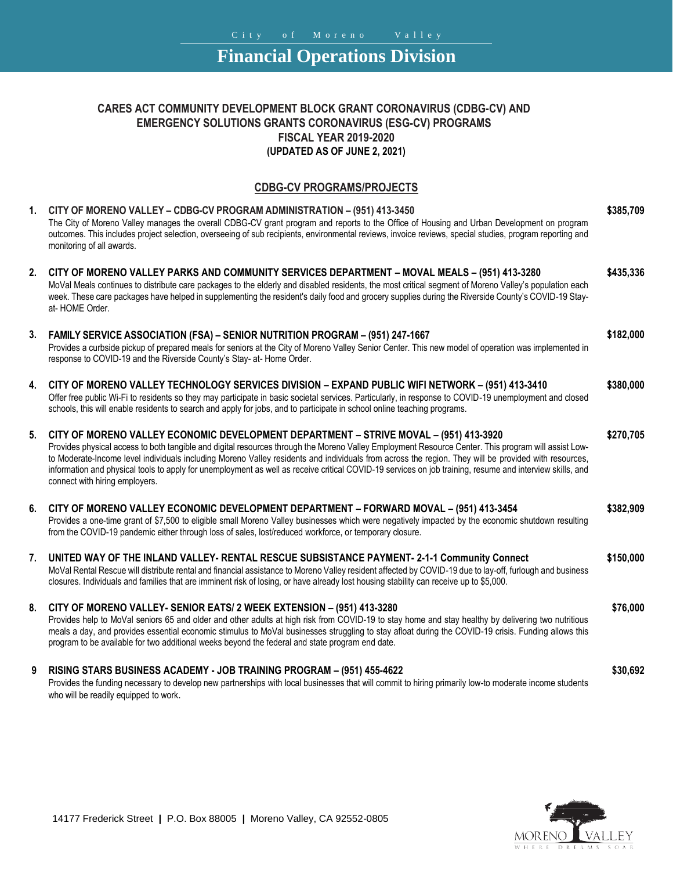## **Financial Operations Division**

## **CARES ACT COMMUNITY DEVELOPMENT BLOCK GRANT CORONAVIRUS (CDBG-CV) AND EMERGENCY SOLUTIONS GRANTS CORONAVIRUS (ESG-CV) PROGRAMS FISCAL YEAR 2019-2020 (UPDATED AS OF JUNE 2, 2021)**

## **CDBG-CV PROGRAMS/PROJECTS**

| 1. | CITY OF MORENO VALLEY - CDBG-CV PROGRAM ADMINISTRATION - (951) 413-3450<br>The City of Moreno Valley manages the overall CDBG-CV grant program and reports to the Office of Housing and Urban Development on program<br>outcomes. This includes project selection, overseeing of sub recipients, environmental reviews, invoice reviews, special studies, program reporting and<br>monitoring of all awards.                                                                                                                                                                                       | \$385,709 |
|----|----------------------------------------------------------------------------------------------------------------------------------------------------------------------------------------------------------------------------------------------------------------------------------------------------------------------------------------------------------------------------------------------------------------------------------------------------------------------------------------------------------------------------------------------------------------------------------------------------|-----------|
| 2. | CITY OF MORENO VALLEY PARKS AND COMMUNITY SERVICES DEPARTMENT - MOVAL MEALS - (951) 413-3280<br>MoVal Meals continues to distribute care packages to the elderly and disabled residents, the most critical segment of Moreno Valley's population each<br>week. These care packages have helped in supplementing the resident's daily food and grocery supplies during the Riverside County's COVID-19 Stay-<br>at-HOME Order.                                                                                                                                                                      | \$435,336 |
| 3. | FAMILY SERVICE ASSOCIATION (FSA) - SENIOR NUTRITION PROGRAM - (951) 247-1667<br>Provides a curbside pickup of prepared meals for seniors at the City of Moreno Valley Senior Center. This new model of operation was implemented in<br>response to COVID-19 and the Riverside County's Stay- at- Home Order.                                                                                                                                                                                                                                                                                       | \$182,000 |
| 4. | CITY OF MORENO VALLEY TECHNOLOGY SERVICES DIVISION - EXPAND PUBLIC WIFI NETWORK - (951) 413-3410<br>Offer free public Wi-Fi to residents so they may participate in basic societal services. Particularly, in response to COVID-19 unemployment and closed<br>schools, this will enable residents to search and apply for jobs, and to participate in school online teaching programs.                                                                                                                                                                                                             | \$380,000 |
| 5. | CITY OF MORENO VALLEY ECONOMIC DEVELOPMENT DEPARTMENT - STRIVE MOVAL - (951) 413-3920<br>Provides physical access to both tangible and digital resources through the Moreno Valley Employment Resource Center. This program will assist Low-<br>to Moderate-Income level individuals including Moreno Valley residents and individuals from across the region. They will be provided with resources,<br>information and physical tools to apply for unemployment as well as receive critical COVID-19 services on job training, resume and interview skills, and<br>connect with hiring employers. | \$270,705 |
| 6. | CITY OF MORENO VALLEY ECONOMIC DEVELOPMENT DEPARTMENT - FORWARD MOVAL - (951) 413-3454<br>Provides a one-time grant of \$7,500 to eligible small Moreno Valley businesses which were negatively impacted by the economic shutdown resulting<br>from the COVID-19 pandemic either through loss of sales, lost/reduced workforce, or temporary closure.                                                                                                                                                                                                                                              | \$382,909 |
| 7. | UNITED WAY OF THE INLAND VALLEY- RENTAL RESCUE SUBSISTANCE PAYMENT- 2-1-1 Community Connect<br>MoVal Rental Rescue will distribute rental and financial assistance to Moreno Valley resident affected by COVID-19 due to lay-off, furlough and business<br>closures. Individuals and families that are imminent risk of losing, or have already lost housing stability can receive up to \$5,000.                                                                                                                                                                                                  | \$150,000 |
| 8. | CITY OF MORENO VALLEY- SENIOR EATS/ 2 WEEK EXTENSION - (951) 413-3280<br>Provides help to MoVal seniors 65 and older and other adults at high risk from COVID-19 to stay home and stay healthy by delivering two nutritious<br>meals a day, and provides essential economic stimulus to MoVal businesses struggling to stay afloat during the COVID-19 crisis. Funding allows this<br>program to be available for two additional weeks beyond the federal and state program end date.                                                                                                              | \$76,000  |
| 9  | RISING STARS BUSINESS ACADEMY - JOB TRAINING PROGRAM - (951) 455-4622<br>Provides the funding necessary to develop new partnerships with local businesses that will commit to hiring primarily low-to moderate income students<br>who will be readily equipped to work.                                                                                                                                                                                                                                                                                                                            | \$30,692  |